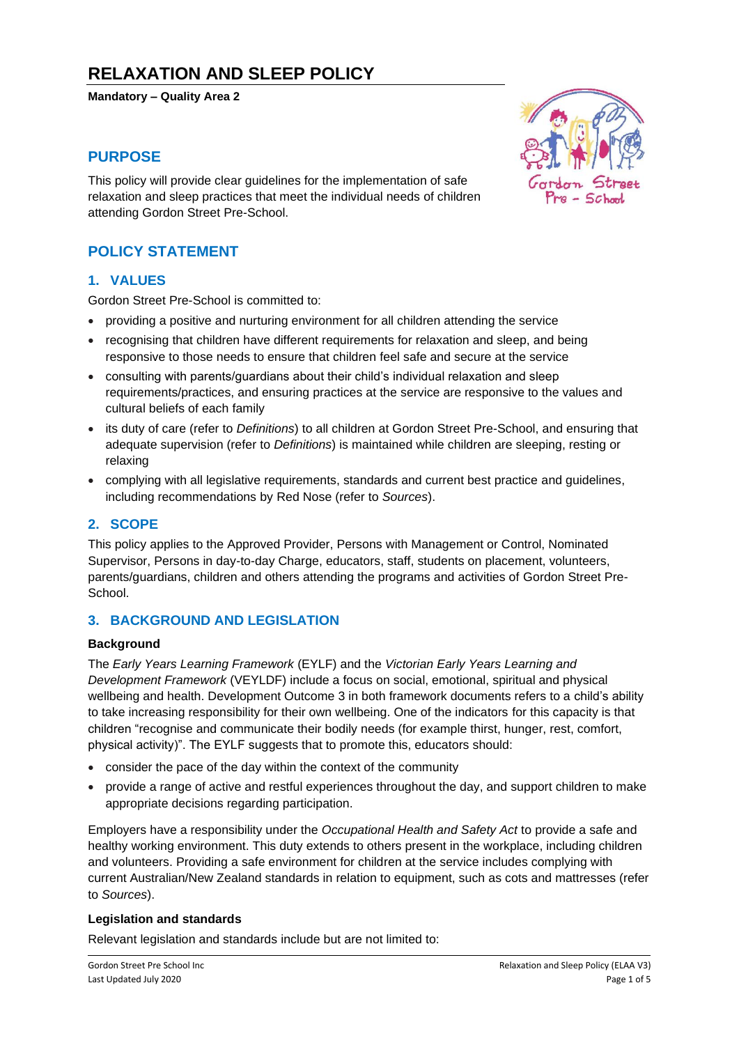# **RELAXATION AND SLEEP POLICY**

**Mandatory – Quality Area 2**

# **PURPOSE**

This policy will provide clear guidelines for the implementation of safe relaxation and sleep practices that meet the individual needs of children attending Gordon Street Pre-School.

# **POLICY STATEMENT**

#### **1. VALUES**

Gordon Street Pre-School is committed to:

- providing a positive and nurturing environment for all children attending the service
- recognising that children have different requirements for relaxation and sleep, and being responsive to those needs to ensure that children feel safe and secure at the service
- consulting with parents/guardians about their child's individual relaxation and sleep requirements/practices, and ensuring practices at the service are responsive to the values and cultural beliefs of each family
- its duty of care (refer to *Definitions*) to all children at Gordon Street Pre-School, and ensuring that adequate supervision (refer to *Definitions*) is maintained while children are sleeping, resting or relaxing
- complying with all legislative requirements, standards and current best practice and guidelines, including recommendations by Red Nose (refer to *Sources*).

#### **2. SCOPE**

This policy applies to the Approved Provider, Persons with Management or Control, Nominated Supervisor, Persons in day-to-day Charge, educators, staff, students on placement, volunteers, parents/guardians, children and others attending the programs and activities of Gordon Street Pre-**School** 

#### **3. BACKGROUND AND LEGISLATION**

#### **Background**

The *Early Years Learning Framework* (EYLF) and the *Victorian Early Years Learning and Development Framework* (VEYLDF) include a focus on social, emotional, spiritual and physical wellbeing and health. Development Outcome 3 in both framework documents refers to a child's ability to take increasing responsibility for their own wellbeing. One of the indicators for this capacity is that children "recognise and communicate their bodily needs (for example thirst, hunger, rest, comfort, physical activity)". The EYLF suggests that to promote this, educators should:

- consider the pace of the day within the context of the community
- provide a range of active and restful experiences throughout the day, and support children to make appropriate decisions regarding participation.

Employers have a responsibility under the *Occupational Health and Safety Act* to provide a safe and healthy working environment. This duty extends to others present in the workplace, including children and volunteers. Providing a safe environment for children at the service includes complying with current Australian/New Zealand standards in relation to equipment, such as cots and mattresses (refer to *Sources*).

#### **Legislation and standards**

Relevant legislation and standards include but are not limited to:

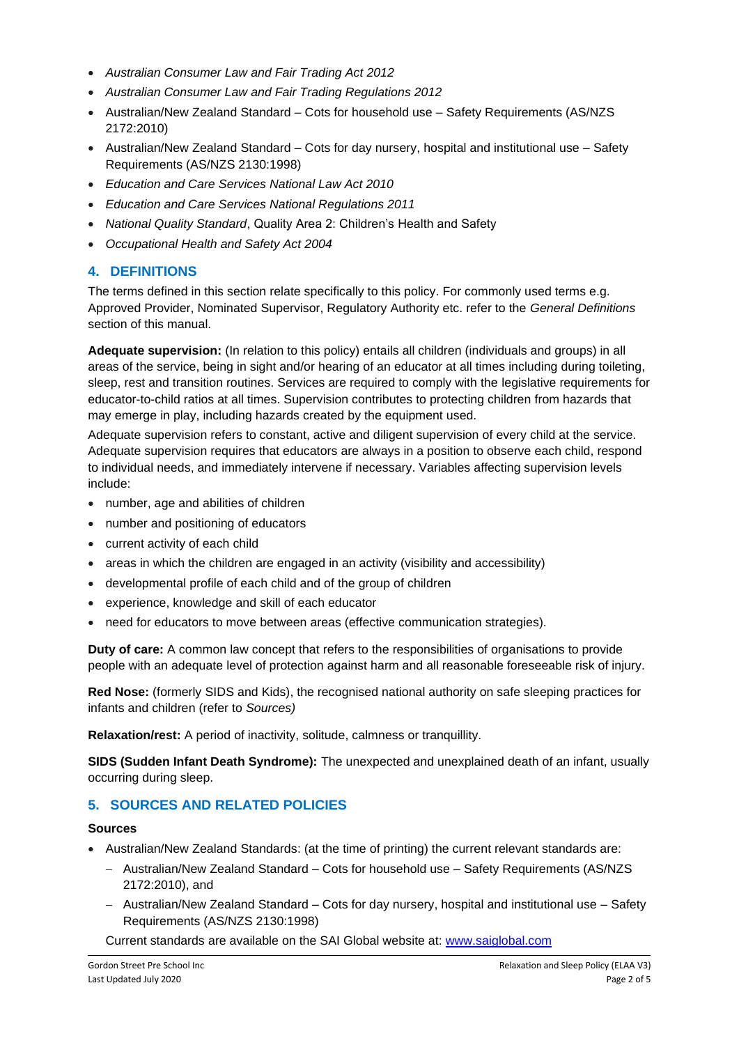- *Australian Consumer Law and Fair Trading Act 2012*
- *Australian Consumer Law and Fair Trading Regulations 2012*
- Australian/New Zealand Standard Cots for household use Safety Requirements (AS/NZS 2172:2010)
- Australian/New Zealand Standard Cots for day nursery, hospital and institutional use Safety Requirements (AS/NZS 2130:1998)
- *Education and Care Services National Law Act 2010*
- *Education and Care Services National Regulations 2011*
- *National Quality Standard*, Quality Area 2: Children's Health and Safety
- *Occupational Health and Safety Act 2004*

# **4. DEFINITIONS**

The terms defined in this section relate specifically to this policy. For commonly used terms e.g. Approved Provider, Nominated Supervisor, Regulatory Authority etc. refer to the *General Definitions* section of this manual.

**Adequate supervision:** (In relation to this policy) entails all children (individuals and groups) in all areas of the service, being in sight and/or hearing of an educator at all times including during toileting, sleep, rest and transition routines. Services are required to comply with the legislative requirements for educator-to-child ratios at all times. Supervision contributes to protecting children from hazards that may emerge in play, including hazards created by the equipment used.

Adequate supervision refers to constant, active and diligent supervision of every child at the service. Adequate supervision requires that educators are always in a position to observe each child, respond to individual needs, and immediately intervene if necessary. Variables affecting supervision levels include:

- number, age and abilities of children
- number and positioning of educators
- current activity of each child
- areas in which the children are engaged in an activity (visibility and accessibility)
- developmental profile of each child and of the group of children
- experience, knowledge and skill of each educator
- need for educators to move between areas (effective communication strategies).

**Duty of care:** A common law concept that refers to the responsibilities of organisations to provide people with an adequate level of protection against harm and all reasonable foreseeable risk of injury.

**Red Nose:** (formerly SIDS and Kids), the recognised national authority on safe sleeping practices for infants and children (refer to *Sources)*

**Relaxation/rest:** A period of inactivity, solitude, calmness or tranquillity.

**SIDS (Sudden Infant Death Syndrome):** The unexpected and unexplained death of an infant, usually occurring during sleep.

# **5. SOURCES AND RELATED POLICIES**

#### **Sources**

- Australian/New Zealand Standards: (at the time of printing) the current relevant standards are:
	- − Australian/New Zealand Standard Cots for household use Safety Requirements (AS/NZS 2172:2010), and
	- − Australian/New Zealand Standard Cots for day nursery, hospital and institutional use Safety Requirements (AS/NZS 2130:1998)

Current standards are available on the SAI Global website at: [www.saiglobal.com](http://www.saiglobal.com/)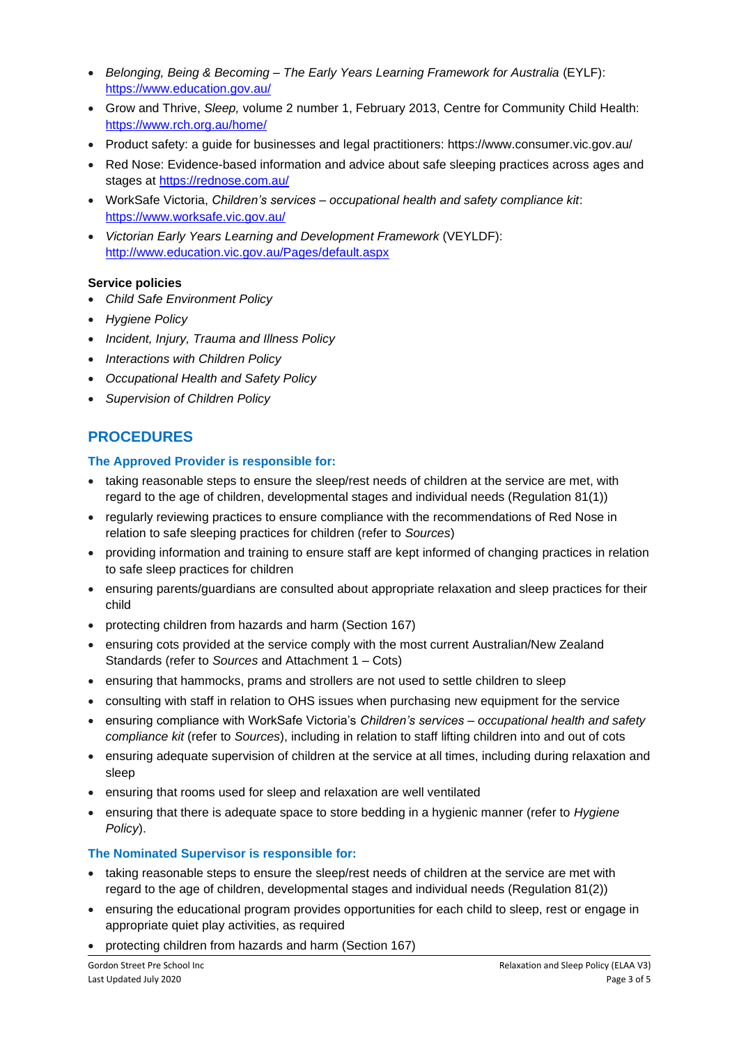- *Belonging, Being & Becoming – The Early Years Learning Framework for Australia* (EYLF): <https://www.education.gov.au/>
- Grow and Thrive, *Sleep,* volume 2 number 1, February 2013, Centre for Community Child Health: <https://www.rch.org.au/home/>
- Product safety: a guide for businesses and legal practitioners: https://www.consumer.vic.gov.au/
- Red Nose: Evidence-based information and advice about safe sleeping practices across ages and stages at<https://rednose.com.au/>
- WorkSafe Victoria, *Children's services – occupational health and safety compliance kit*: <https://www.worksafe.vic.gov.au/>
- *Victorian Early Years Learning and Development Framework* (VEYLDF): <http://www.education.vic.gov.au/Pages/default.aspx>

#### **Service policies**

- *Child Safe Environment Policy*
- *Hygiene Policy*
- *Incident, Injury, Trauma and Illness Policy*
- *Interactions with Children Policy*
- *Occupational Health and Safety Policy*
- *Supervision of Children Policy*

# **PROCEDURES**

#### **The Approved Provider is responsible for:**

- taking reasonable steps to ensure the sleep/rest needs of children at the service are met, with regard to the age of children, developmental stages and individual needs (Regulation 81(1))
- regularly reviewing practices to ensure compliance with the recommendations of Red Nose in relation to safe sleeping practices for children (refer to *Sources*)
- providing information and training to ensure staff are kept informed of changing practices in relation to safe sleep practices for children
- ensuring parents/guardians are consulted about appropriate relaxation and sleep practices for their child
- protecting children from hazards and harm (Section 167)
- ensuring cots provided at the service comply with the most current Australian/New Zealand Standards (refer to *Sources* and Attachment 1 – Cots)
- ensuring that hammocks, prams and strollers are not used to settle children to sleep
- consulting with staff in relation to OHS issues when purchasing new equipment for the service
- ensuring compliance with WorkSafe Victoria's *Children's services – occupational health and safety compliance kit* (refer to *Sources*), including in relation to staff lifting children into and out of cots
- ensuring adequate supervision of children at the service at all times, including during relaxation and sleep
- ensuring that rooms used for sleep and relaxation are well ventilated
- ensuring that there is adequate space to store bedding in a hygienic manner (refer to *Hygiene Policy*).

#### **The Nominated Supervisor is responsible for:**

- taking reasonable steps to ensure the sleep/rest needs of children at the service are met with regard to the age of children, developmental stages and individual needs (Regulation 81(2))
- ensuring the educational program provides opportunities for each child to sleep, rest or engage in appropriate quiet play activities, as required
- protecting children from hazards and harm (Section 167)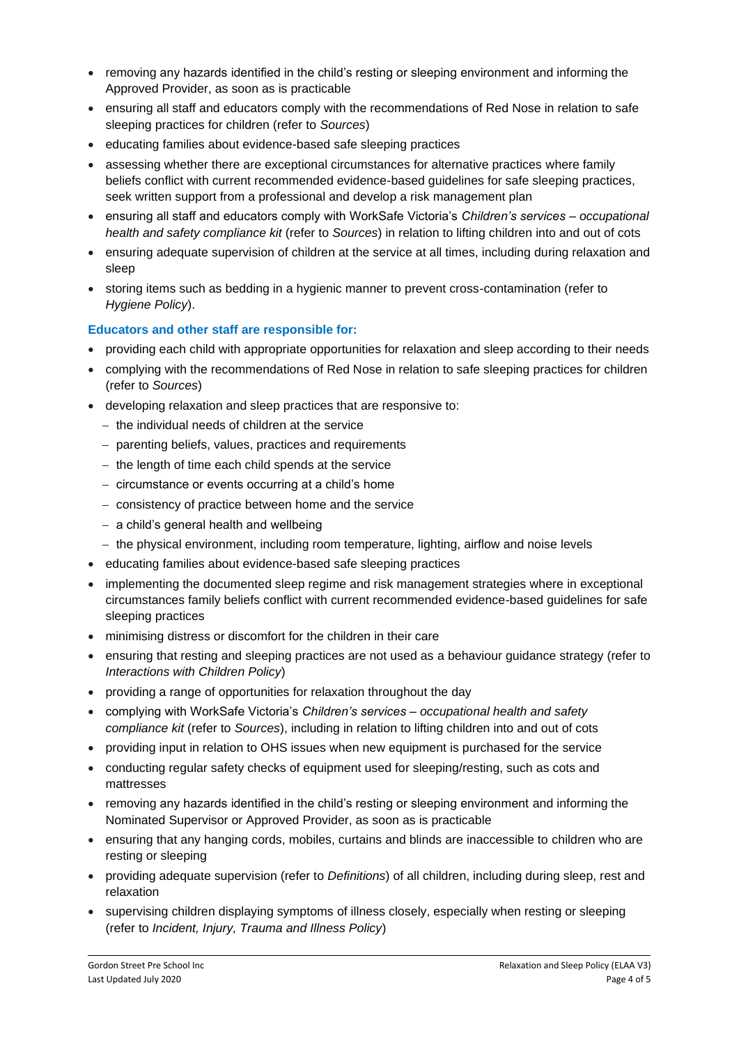- removing any hazards identified in the child's resting or sleeping environment and informing the Approved Provider, as soon as is practicable
- ensuring all staff and educators comply with the recommendations of Red Nose in relation to safe sleeping practices for children (refer to *Sources*)
- educating families about evidence-based safe sleeping practices
- assessing whether there are exceptional circumstances for alternative practices where family beliefs conflict with current recommended evidence-based guidelines for safe sleeping practices, seek written support from a professional and develop a risk management plan
- ensuring all staff and educators comply with WorkSafe Victoria's *Children's services – occupational health and safety compliance kit* (refer to *Sources*) in relation to lifting children into and out of cots
- ensuring adequate supervision of children at the service at all times, including during relaxation and sleep
- storing items such as bedding in a hygienic manner to prevent cross-contamination (refer to *Hygiene Policy*).

#### **Educators and other staff are responsible for:**

- providing each child with appropriate opportunities for relaxation and sleep according to their needs
- complying with the recommendations of Red Nose in relation to safe sleeping practices for children (refer to *Sources*)
- developing relaxation and sleep practices that are responsive to:
	- − the individual needs of children at the service
	- − parenting beliefs, values, practices and requirements
	- − the length of time each child spends at the service
	- − circumstance or events occurring at a child's home
	- − consistency of practice between home and the service
	- − a child's general health and wellbeing
	- − the physical environment, including room temperature, lighting, airflow and noise levels
- educating families about evidence-based safe sleeping practices
- implementing the documented sleep regime and risk management strategies where in exceptional circumstances family beliefs conflict with current recommended evidence-based guidelines for safe sleeping practices
- minimising distress or discomfort for the children in their care
- ensuring that resting and sleeping practices are not used as a behaviour guidance strategy (refer to *Interactions with Children Policy*)
- providing a range of opportunities for relaxation throughout the day
- complying with WorkSafe Victoria's *Children's services – occupational health and safety compliance kit* (refer to *Sources*), including in relation to lifting children into and out of cots
- providing input in relation to OHS issues when new equipment is purchased for the service
- conducting regular safety checks of equipment used for sleeping/resting, such as cots and mattresses
- removing any hazards identified in the child's resting or sleeping environment and informing the Nominated Supervisor or Approved Provider, as soon as is practicable
- ensuring that any hanging cords, mobiles, curtains and blinds are inaccessible to children who are resting or sleeping
- providing adequate supervision (refer to *Definitions*) of all children, including during sleep, rest and relaxation
- supervising children displaying symptoms of illness closely, especially when resting or sleeping (refer to *Incident, Injury, Trauma and Illness Policy*)